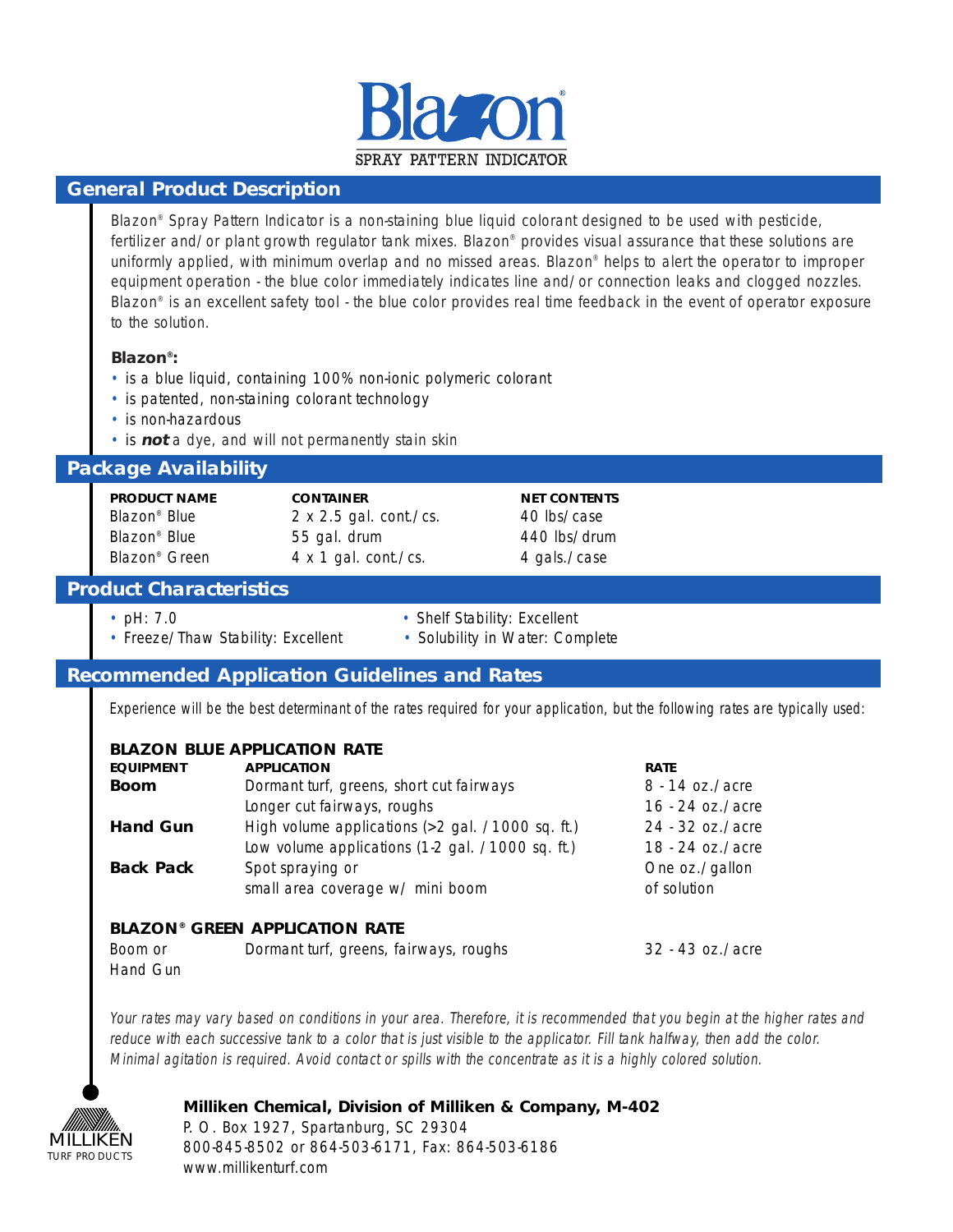

## **General Product Description**

Blazon® Spray Pattern Indicator is a non-staining blue liquid colorant designed to be used with pesticide, fertilizer and/or plant growth regulator tank mixes. Blazon<sup>®</sup> provides visual assurance that these solutions are uniformly applied, with minimum overlap and no missed areas. Blazon® helps to alert the operator to improper equipment operation - the blue color immediately indicates line and/or connection leaks and clogged nozzles. Blazon® is an excellent safety tool - the blue color provides real time feedback in the event of operator exposure to the solution.

#### **Blazon®:**

- is a blue liquid, containing 100% non-ionic polymeric colorant
- is patented, non-staining colorant technology
- is non-hazardous
- is **not** a dye, and will not permanently stain skin

## **Package Availability**

| <b>PRODUCT NAME</b>       | <b>CONTAINER</b>              | <b>NET CONTENTS</b> |
|---------------------------|-------------------------------|---------------------|
| Blazon <sup>®</sup> Blue  | $2 \times 2.5$ gal. cont./cs. | 40 lbs/case         |
| Blazon <sup>®</sup> Blue  | 55 gal. drum                  | 440 lbs/drum        |
| Blazon <sup>®</sup> Green | $4 \times 1$ gal. cont./cs.   | 4 gals./case        |

## **Product Characteristics**

- 
- pH: 7.0 Shelf Stability: Excellent
- Freeze/Thaw Stability: Excellent Solubility in Water: Complete
- 
- 

# **Recommended Application Guidelines and Rates**

Experience will be the best determinant of the rates required for your application, but the following rates are typically used:

# **BLAZON BLUE APPLICATION RATE**

| <b>EQUIPMENT</b>                                 | <b>APPLICATION</b>                               | <b>RATE</b>        |  |  |
|--------------------------------------------------|--------------------------------------------------|--------------------|--|--|
| <b>Boom</b>                                      | Dormant turf, greens, short cut fairways         | $8 - 14$ oz./acre  |  |  |
|                                                  | Longer cut fairways, roughs                      | $16 - 24$ oz./acre |  |  |
| <b>Hand Gun</b>                                  | High volume applications (>2 gal. /1000 sq. ft.) | 24 - 32 oz./acre   |  |  |
|                                                  | Low volume applications (1-2 gal. /1000 sq. ft.) | 18 - 24 oz./acre   |  |  |
| <b>Back Pack</b>                                 | Spot spraying or                                 | One oz./gallon     |  |  |
|                                                  | small area coverage w/ mini boom                 | of solution        |  |  |
| <b>BLAZON<sup>®</sup> GREEN APPLICATION RATE</b> |                                                  |                    |  |  |

#### **BLAZON® GREEN APPLICATION RATE**

| Boom or  | Dormant turf, greens, fairways, roughs | 32 - 43 oz./acre |
|----------|----------------------------------------|------------------|
| Hand Gun |                                        |                  |

Your rates may vary based on conditions in your area. Therefore, it is recommended that you begin at the higher rates and reduce with each successive tank to a color that is just visible to the applicator. Fill tank halfway, then add the color. Minimal agitation is required. Avoid contact or spills with the concentrate as it is a highly colored solution.

# MILLIKEN TURF PRODUCTS

### **Milliken Chemical, Division of Milliken & Company, M-402**

P. O. Box 1927, Spartanburg, SC 29304 800-845-8502 or 864-503-6171, Fax: 864-503-6186 www.millikenturf.com